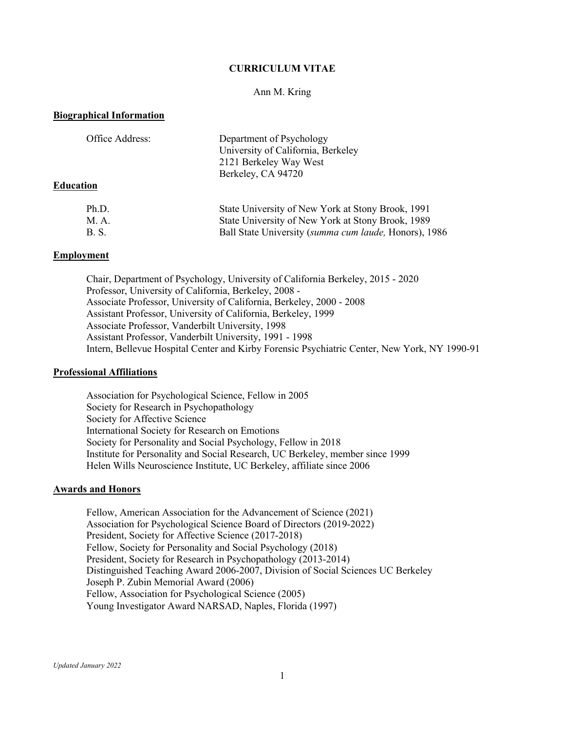# **CURRICULUM VITAE**

## Ann M. Kring

### **Biographical Information**

| Office Address:  | Department of Psychology<br>University of California, Berkeley<br>2121 Berkeley Way West |
|------------------|------------------------------------------------------------------------------------------|
| <b>Education</b> | Berkeley, CA 94720                                                                       |
| Ph.D.            | State University of New York at Stony Brook, 1991                                        |
| M. A.            | State University of New York at Stony Brook, 1989                                        |

B. S. Ball State University (*summa cum laude,* Honors), 1986

#### **Employment**

Chair, Department of Psychology, University of California Berkeley, 2015 - 2020 Professor, University of California, Berkeley, 2008 - Associate Professor, University of California, Berkeley, 2000 - 2008 Assistant Professor, University of California, Berkeley, 1999 Associate Professor, Vanderbilt University, 1998 Assistant Professor, Vanderbilt University, 1991 - 1998 Intern, Bellevue Hospital Center and Kirby Forensic Psychiatric Center, New York, NY 1990-91

#### **Professional Affiliations**

Association for Psychological Science, Fellow in 2005 Society for Research in Psychopathology Society for Affective Science International Society for Research on Emotions Society for Personality and Social Psychology, Fellow in 2018 Institute for Personality and Social Research, UC Berkeley, member since 1999 Helen Wills Neuroscience Institute, UC Berkeley, affiliate since 2006

## **Awards and Honors**

Fellow, American Association for the Advancement of Science (2021) Association for Psychological Science Board of Directors (2019-2022) President, Society for Affective Science (2017-2018) Fellow, Society for Personality and Social Psychology (2018) President, Society for Research in Psychopathology (2013-2014) Distinguished Teaching Award 2006-2007, Division of Social Sciences UC Berkeley Joseph P. Zubin Memorial Award (2006) Fellow, Association for Psychological Science (2005) Young Investigator Award NARSAD, Naples, Florida (1997)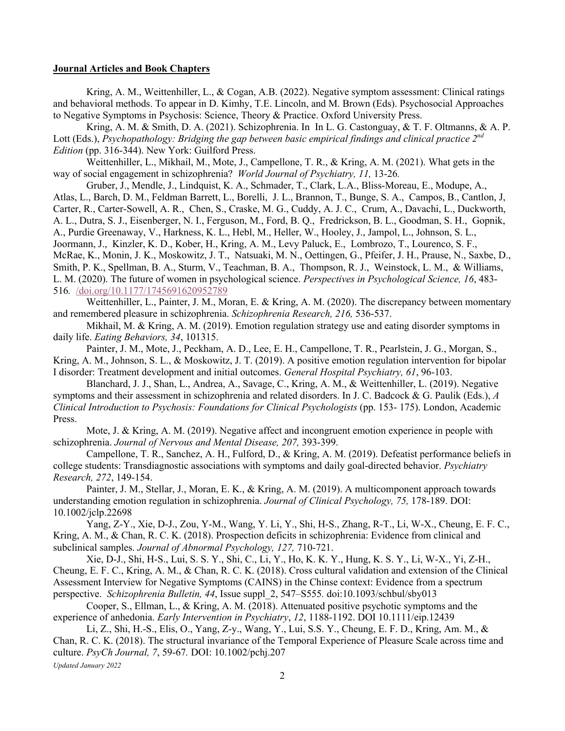## **Journal Articles and Book Chapters**

Kring, A. M., Weittenhiller, L., & Cogan, A.B. (2022). Negative symptom assessment: Clinical ratings and behavioral methods. To appear in D. Kimhy, T.E. Lincoln, and M. Brown (Eds). Psychosocial Approaches to Negative Symptoms in Psychosis: Science, Theory & Practice. Oxford University Press.

Kring, A. M. & Smith, D. A. (2021). Schizophrenia. In In L. G. Castonguay, & T. F. Oltmanns, & A. P. Lott (Eds.), *Psychopathology: Bridging the gap between basic empirical findings and clinical practice 2nd Edition* (pp. 316-344). New York: Guilford Press.

Weittenhiller, L., Mikhail, M., Mote, J., Campellone, T. R., & Kring, A. M. (2021). What gets in the way of social engagement in schizophrenia? *World Journal of Psychiatry, 11,* 13-26*.*

Gruber, J., Mendle, J., Lindquist, K. A., Schmader, T., Clark, L.A., Bliss-Moreau, E., Modupe, A., Atlas, L., Barch, D. M., Feldman Barrett, L., Borelli, J. L., Brannon, T., Bunge, S. A., Campos, B., Cantlon, J, Carter, R., Carter-Sowell, A. R., Chen, S., Craske, M. G., Cuddy, A. J. C., Crum, A., Davachi, L., Duckworth, A. L., Dutra, S. J., Eisenberger, N. I., Ferguson, M., Ford, B. Q., Fredrickson, B. L., Goodman, S. H., Gopnik, A., Purdie Greenaway, V., Harkness, K. L., Hebl, M., Heller, W., Hooley, J., Jampol, L., Johnson, S. L., Joormann, J., Kinzler, K. D., Kober, H., Kring, A. M., Levy Paluck, E., Lombrozo, T., Lourenco, S. F., McRae, K., Monin, J. K., Moskowitz, J. T., Natsuaki, M. N., Oettingen, G., Pfeifer, J. H., Prause, N., Saxbe, D., Smith, P. K., Spellman, B. A., Sturm, V., Teachman, B. A., Thompson, R. J., Weinstock, L. M., & Williams, L. M. (2020). The future of women in psychological science. *Perspectives in Psychological Science, 16*, 483- 516*.* /doi.org/10.1177/1745691620952789

Weittenhiller, L., Painter, J. M., Moran, E. & Kring, A. M. (2020). The discrepancy between momentary and remembered pleasure in schizophrenia. *Schizophrenia Research, 216,* 536-537.

Mikhail, M. & Kring, A. M. (2019). Emotion regulation strategy use and eating disorder symptoms in daily life. *Eating Behaviors, 34*, 101315.

Painter, J. M., Mote, J., Peckham, A. D., Lee, E. H., Campellone, T. R., Pearlstein, J. G., Morgan, S., Kring, A. M., Johnson, S. L., & Moskowitz, J. T. (2019). A positive emotion regulation intervention for bipolar I disorder: Treatment development and initial outcomes. *General Hospital Psychiatry, 61*, 96-103.

Blanchard, J. J., Shan, L., Andrea, A., Savage, C., Kring, A. M., & Weittenhiller, L. (2019). Negative symptoms and their assessment in schizophrenia and related disorders. In J. C. Badcock & G. Paulik (Eds.), *A Clinical Introduction to Psychosis: Foundations for Clinical Psychologists* (pp. 153- 175). London, Academic Press.

Mote, J. & Kring, A. M. (2019). Negative affect and incongruent emotion experience in people with schizophrenia. *Journal of Nervous and Mental Disease, 207,* 393-399.

Campellone, T. R., Sanchez, A. H., Fulford, D., & Kring, A. M. (2019). Defeatist performance beliefs in college students: Transdiagnostic associations with symptoms and daily goal-directed behavior. *Psychiatry Research, 272*, 149-154.

Painter, J. M., Stellar, J., Moran, E. K., & Kring, A. M. (2019). A multicomponent approach towards understanding emotion regulation in schizophrenia. *Journal of Clinical Psychology, 75,* 178-189. DOI: 10.1002/jclp.22698

Yang, Z-Y., Xie, D-J., Zou, Y-M., Wang, Y. Li, Y., Shi, H-S., Zhang, R-T., Li, W-X., Cheung, E. F. C., Kring, A. M., & Chan, R. C. K. (2018). Prospection deficits in schizophrenia: Evidence from clinical and subclinical samples. *Journal of Abnormal Psychology, 127,* 710-721.

Xie, D-J., Shi, H-S., Lui, S. S. Y., Shi, C., Li, Y., Ho, K. K. Y., Hung, K. S. Y., Li, W-X., Yi, Z-H., Cheung, E. F. C., Kring, A. M., & Chan, R. C. K. (2018). Cross cultural validation and extension of the Clinical Assessment Interview for Negative Symptoms (CAINS) in the Chinse context: Evidence from a spectrum perspective. *Schizophrenia Bulletin, 44*, Issue suppl\_2, 547–S555*.* doi:10.1093/schbul/sby013

Cooper, S., Ellman, L., & Kring, A. M. (2018). Attenuated positive psychotic symptoms and the experience of anhedonia. *Early Intervention in Psychiatry*, *12*, 1188-1192. DOI 10.1111/eip.12439

Li, Z., Shi, H.-S., Elis, O., Yang, Z-y., Wang, Y., Lui, S.S. Y., Cheung, E. F. D., Kring, Am. M., & Chan, R. C. K. (2018). The structural invariance of the Temporal Experience of Pleasure Scale across time and culture. *PsyCh Journal, 7*, 59-67*.* DOI: 10.1002/pchj.207

*Updated January 2022*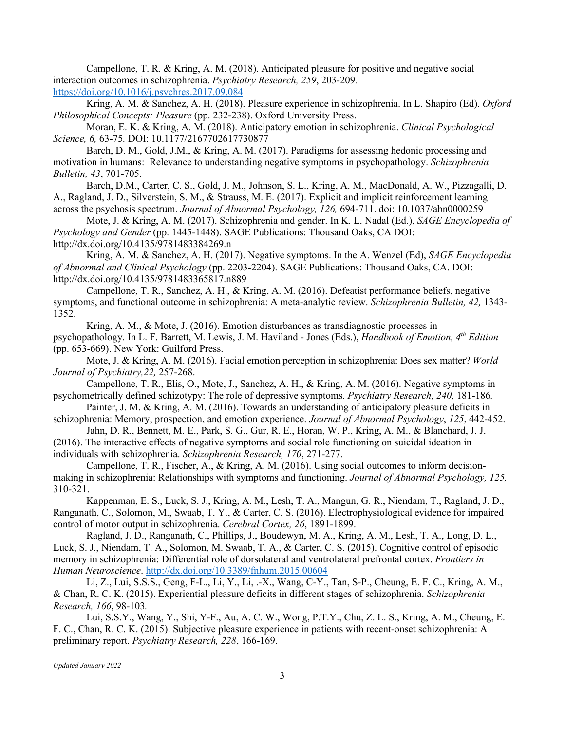Campellone, T. R. & Kring, A. M. (2018). Anticipated pleasure for positive and negative social interaction outcomes in schizophrenia. *Psychiatry Research, 259*, 203-209*.* https://doi.org/10.1016/j.psychres.2017.09.084

Kring, A. M. & Sanchez, A. H. (2018). Pleasure experience in schizophrenia. In L. Shapiro (Ed). *Oxford Philosophical Concepts: Pleasure* (pp. 232-238). Oxford University Press.

Moran, E. K. & Kring, A. M. (2018). Anticipatory emotion in schizophrenia. *Clinical Psychological Science, 6,* 63-75*.* DOI: 10.1177/2167702617730877

Barch, D. M., Gold, J.M., & Kring, A. M. (2017). Paradigms for assessing hedonic processing and motivation in humans: Relevance to understanding negative symptoms in psychopathology. *Schizophrenia Bulletin, 43*, 701-705.

Barch, D.M., Carter, C. S., Gold, J. M., Johnson, S. L., Kring, A. M., MacDonald, A. W., Pizzagalli, D. A., Ragland, J. D., Silverstein, S. M., & Strauss, M. E. (2017). Explicit and implicit reinforcement learning across the psychosis spectrum. *Journal of Abnormal Psychology, 126,* 694-711. doi: 10.1037/abn0000259

Mote, J. & Kring, A. M. (2017). Schizophrenia and gender. In K. L. Nadal (Ed.), *SAGE Encyclopedia of Psychology and Gender* (pp. 1445-1448). SAGE Publications: Thousand Oaks, CA DOI:

http://dx.doi.org/10.4135/9781483384269.n

Kring, A. M. & Sanchez, A. H. (2017). Negative symptoms. In the A. Wenzel (Ed), *SAGE Encyclopedia of Abnormal and Clinical Psychology* (pp. 2203-2204). SAGE Publications: Thousand Oaks, CA. DOI: http://dx.doi.org/10.4135/9781483365817.n889

Campellone, T. R., Sanchez, A. H., & Kring, A. M. (2016). Defeatist performance beliefs, negative symptoms, and functional outcome in schizophrenia: A meta-analytic review. *Schizophrenia Bulletin, 42,* 1343- 1352.

Kring, A. M., & Mote, J. (2016). Emotion disturbances as transdiagnostic processes in psychopathology. In L. F. Barrett, M. Lewis, J. M. Haviland - Jones (Eds.), *Handbook of Emotion, 4th Edition* (pp. 653-669). New York: Guilford Press.

Mote, J. & Kring, A. M. (2016). Facial emotion perception in schizophrenia: Does sex matter? *World Journal of Psychiatry,22,* 257-268.

Campellone, T. R., Elis, O., Mote, J., Sanchez, A. H., & Kring, A. M. (2016). Negative symptoms in psychometrically defined schizotypy: The role of depressive symptoms. *Psychiatry Research, 240,* 181-186*.*

Painter, J. M. & Kring, A. M. (2016). Towards an understanding of anticipatory pleasure deficits in schizophrenia: Memory, prospection, and emotion experience. *Journal of Abnormal Psychology*, *125*, 442-452.

Jahn, D. R., Bennett, M. E., Park, S. G., Gur, R. E., Horan, W. P., Kring, A. M., & Blanchard, J. J. (2016). The interactive effects of negative symptoms and social role functioning on suicidal ideation in individuals with schizophrenia. *Schizophrenia Research, 170*, 271-277.

Campellone, T. R., Fischer, A., & Kring, A. M. (2016). Using social outcomes to inform decisionmaking in schizophrenia: Relationships with symptoms and functioning. *Journal of Abnormal Psychology, 125,*  310-321.

Kappenman, E. S., Luck, S. J., Kring, A. M., Lesh, T. A., Mangun, G. R., Niendam, T., Ragland, J. D., Ranganath, C., Solomon, M., Swaab, T. Y., & Carter, C. S. (2016). Electrophysiological evidence for impaired control of motor output in schizophrenia. *Cerebral Cortex, 26*, 1891-1899.

Ragland, J. D., Ranganath, C., Phillips, J., Boudewyn, M. A., Kring, A. M., Lesh, T. A., Long, D. L., Luck, S. J., Niendam, T. A., Solomon, M. Swaab, T. A., & Carter, C. S. (2015). Cognitive control of episodic memory in schizophrenia: Differential role of dorsolateral and ventrolateral prefrontal cortex. *Frontiers in Human Neuroscience*. http://dx.doi.org/10.3389/fnhum.2015.00604

Li, Z., Lui, S.S.S., Geng, F-L., Li, Y., Li, .-X., Wang, C-Y., Tan, S-P., Cheung, E. F. C., Kring, A. M., & Chan, R. C. K. (2015). Experiential pleasure deficits in different stages of schizophrenia. *Schizophrenia Research, 166*, 98-103*.*

Lui, S.S.Y., Wang, Y., Shi, Y-F., Au, A. C. W., Wong, P.T.Y., Chu, Z. L. S., Kring, A. M., Cheung, E. F. C., Chan, R. C. K. (2015). Subjective pleasure experience in patients with recent-onset schizophrenia: A preliminary report. *Psychiatry Research, 228*, 166-169.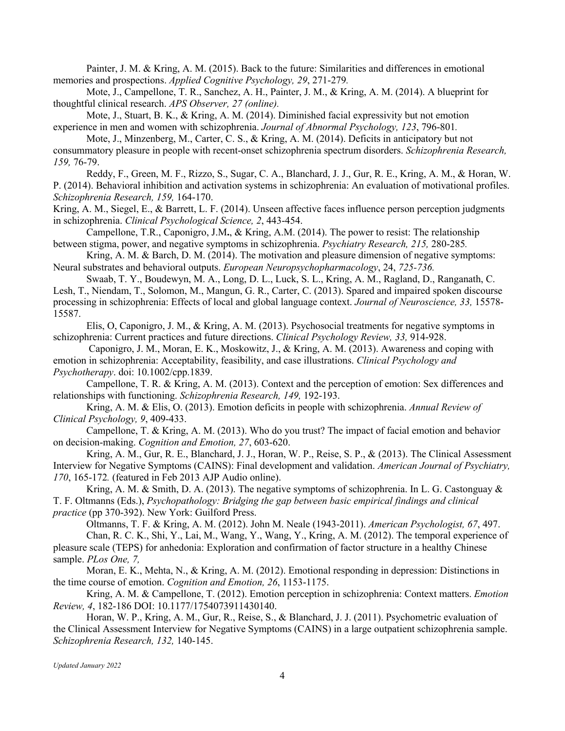Painter, J. M. & Kring, A. M. (2015). Back to the future: Similarities and differences in emotional memories and prospections. *Applied Cognitive Psychology, 29*, 271-279*.*

Mote, J., Campellone, T. R., Sanchez, A. H., Painter, J. M., & Kring, A. M. (2014). A blueprint for thoughtful clinical research. *APS Observer, 27 (online).*

Mote, J., Stuart, B. K., & Kring, A. M. (2014). Diminished facial expressivity but not emotion experience in men and women with schizophrenia. *Journal of Abnormal Psychology, 123*, 796-801*.*

Mote, J., Minzenberg, M., Carter, C. S., & Kring, A. M. (2014). Deficits in anticipatory but not consummatory pleasure in people with recent-onset schizophrenia spectrum disorders. *Schizophrenia Research, 159,* 76-79.

Reddy, F., Green, M. F., Rizzo, S., Sugar, C. A., Blanchard, J. J., Gur, R. E., Kring, A. M., & Horan, W. P. (2014). Behavioral inhibition and activation systems in schizophrenia: An evaluation of motivational profiles. *Schizophrenia Research, 159,* 164-170.

Kring, A. M., Siegel, E., & Barrett, L. F. (2014). Unseen affective faces influence person perception judgments in schizophrenia. *Clinical Psychological Science, 2*, 443-454.

Campellone, T.R., Caponigro, J.M**.**, & Kring, A.M. (2014). The power to resist: The relationship between stigma, power, and negative symptoms in schizophrenia. *Psychiatry Research, 215,* 280-285*.*

Kring, A. M. & Barch, D. M. (2014). The motivation and pleasure dimension of negative symptoms: Neural substrates and behavioral outputs. *European Neuropsychopharmacology*, 24, *725-736.*

Swaab, T. Y., Boudewyn, M. A., Long, D. L., Luck, S. L., Kring, A. M., Ragland, D., Ranganath, C. Lesh, T., Niendam, T., Solomon, M., Mangun, G. R., Carter, C. (2013). Spared and impaired spoken discourse processing in schizophrenia: Effects of local and global language context. *Journal of Neuroscience, 33,* 15578- 15587.

Elis, O, Caponigro, J. M., & Kring, A. M. (2013). Psychosocial treatments for negative symptoms in schizophrenia: Current practices and future directions. *Clinical Psychology Review, 33,* 914-928.

Caponigro, J. M., Moran, E. K., Moskowitz, J., & Kring, A. M. (2013). Awareness and coping with emotion in schizophrenia: Acceptability, feasibility, and case illustrations. *Clinical Psychology and Psychotherapy*. doi: 10.1002/cpp.1839.

Campellone, T. R. & Kring, A. M. (2013). Context and the perception of emotion: Sex differences and relationships with functioning. *Schizophrenia Research, 149,* 192-193.

Kring, A. M. & Elis, O. (2013). Emotion deficits in people with schizophrenia. *Annual Review of Clinical Psychology, 9*, 409-433.

Campellone, T. & Kring, A. M. (2013). Who do you trust? The impact of facial emotion and behavior on decision-making. *Cognition and Emotion, 27*, 603-620.

Kring, A. M., Gur, R. E., Blanchard, J. J., Horan, W. P., Reise, S. P., & (2013). The Clinical Assessment Interview for Negative Symptoms (CAINS): Final development and validation. *American Journal of Psychiatry, 170*, 165-172*.* (featured in Feb 2013 AJP Audio online).

Kring, A. M. & Smith, D. A. (2013). The negative symptoms of schizophrenia. In L. G. Castonguay & T. F. Oltmanns (Eds.), *Psychopathology: Bridging the gap between basic empirical findings and clinical practice* (pp 370-392). New York: Guilford Press.

Oltmanns, T. F. & Kring, A. M. (2012). John M. Neale (1943-2011). *American Psychologist, 67*, 497. Chan, R. C. K., Shi, Y., Lai, M., Wang, Y., Wang, Y., Kring, A. M. (2012). The temporal experience of pleasure scale (TEPS) for anhedonia: Exploration and confirmation of factor structure in a healthy Chinese sample. *PLos One, 7,*

Moran, E. K., Mehta, N., & Kring, A. M. (2012). Emotional responding in depression: Distinctions in the time course of emotion. *Cognition and Emotion, 26*, 1153-1175.

Kring, A. M. & Campellone, T. (2012). Emotion perception in schizophrenia: Context matters. *Emotion Review, 4*, 182-186 DOI: 10.1177/1754073911430140.

Horan, W. P., Kring, A. M., Gur, R., Reise, S., & Blanchard, J. J. (2011). Psychometric evaluation of the Clinical Assessment Interview for Negative Symptoms (CAINS) in a large outpatient schizophrenia sample. *Schizophrenia Research, 132,* 140-145.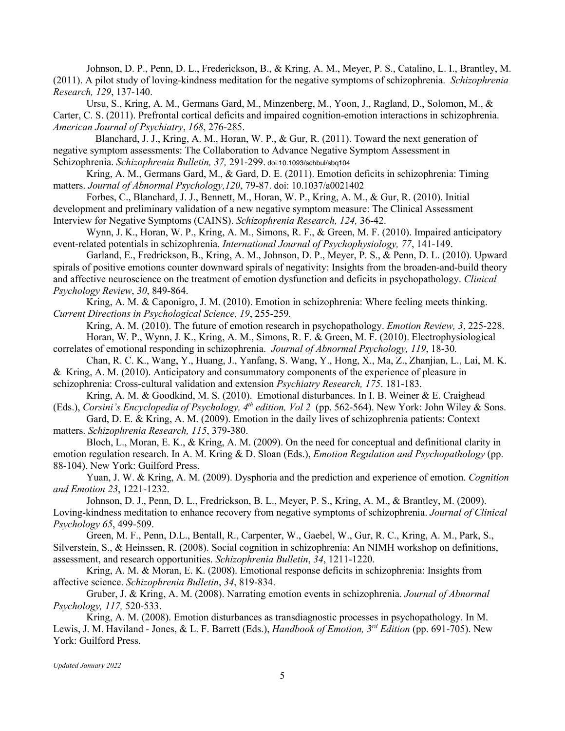Johnson, D. P., Penn, D. L., Frederickson, B., & Kring, A. M., Meyer, P. S., Catalino, L. I., Brantley, M. (2011). A pilot study of loving-kindness meditation for the negative symptoms of schizophrenia. *Schizophrenia Research, 129*, 137-140.

Ursu, S., Kring, A. M., Germans Gard, M., Minzenberg, M., Yoon, J., Ragland, D., Solomon, M., & Carter, C. S. (2011). Prefrontal cortical deficits and impaired cognition-emotion interactions in schizophrenia. *American Journal of Psychiatry*, *168*, 276-285.

Blanchard, J. J., Kring, A. M., Horan, W. P., & Gur, R. (2011). Toward the next generation of negative symptom assessments: The Collaboration to Advance Negative Symptom Assessment in Schizophrenia. *Schizophrenia Bulletin, 37,* 291-299. doi:10.1093/schbul/sbq104

Kring, A. M., Germans Gard, M., & Gard, D. E. (2011). Emotion deficits in schizophrenia: Timing matters. *Journal of Abnormal Psychology,120*, 79-87. doi: 10.1037/a0021402

Forbes, C., Blanchard, J. J., Bennett, M., Horan, W. P., Kring, A. M., & Gur, R. (2010). Initial development and preliminary validation of a new negative symptom measure: The Clinical Assessment Interview for Negative Symptoms (CAINS). *Schizophrenia Research, 124,* 36-42.

Wynn, J. K., Horan, W. P., Kring, A. M., Simons, R. F., & Green, M. F. (2010). Impaired anticipatory event-related potentials in schizophrenia. *International Journal of Psychophysiology, 77*, 141-149.

Garland, E., Fredrickson, B., Kring, A. M., Johnson, D. P., Meyer, P. S., & Penn, D. L. (2010). Upward spirals of positive emotions counter downward spirals of negativity: Insights from the broaden-and-build theory and affective neuroscience on the treatment of emotion dysfunction and deficits in psychopathology. *Clinical Psychology Review*, *30*, 849-864.

Kring, A. M. & Caponigro, J. M. (2010). Emotion in schizophrenia: Where feeling meets thinking. *Current Directions in Psychological Science, 19*, 255-259*.*

Kring, A. M. (2010). The future of emotion research in psychopathology. *Emotion Review, 3*, 225-228. Horan, W. P., Wynn, J. K., Kring, A. M., Simons, R. F. & Green, M. F. (2010). Electrophysiological

correlates of emotional responding in schizophrenia. *Journal of Abnormal Psychology, 119*, 18-30*.*

Chan, R. C. K., Wang, Y., Huang, J., Yanfang, S. Wang, Y., Hong, X., Ma, Z., Zhanjian, L., Lai, M. K. & Kring, A. M. (2010). Anticipatory and consummatory components of the experience of pleasure in schizophrenia: Cross-cultural validation and extension *Psychiatry Research, 175*. 181-183.

Kring, A. M. & Goodkind, M. S. (2010). Emotional disturbances. In I. B. Weiner & E. Craighead (Eds.), *Corsini's Encyclopedia of Psychology, 4<sup>th</sup> edition, Vol 2 (pp. 562-564)*. New York: John Wiley & Sons.

Gard, D. E. & Kring, A. M. (2009). Emotion in the daily lives of schizophrenia patients: Context matters. *Schizophrenia Research, 115*, 379-380.

Bloch, L., Moran, E. K., & Kring, A. M. (2009). On the need for conceptual and definitional clarity in emotion regulation research. In A. M. Kring & D. Sloan (Eds.), *Emotion Regulation and Psychopathology* (pp. 88-104). New York: Guilford Press.

Yuan, J. W. & Kring, A. M. (2009). Dysphoria and the prediction and experience of emotion. *Cognition and Emotion 23*, 1221-1232.

Johnson, D. J., Penn, D. L., Fredrickson, B. L., Meyer, P. S., Kring, A. M., & Brantley, M. (2009). Loving-kindness meditation to enhance recovery from negative symptoms of schizophrenia. *Journal of Clinical Psychology 65*, 499-509.

Green, M. F., Penn, D.L., Bentall, R., Carpenter, W., Gaebel, W., Gur, R. C., Kring, A. M., Park, S., Silverstein, S., & Heinssen, R. (2008). Social cognition in schizophrenia: An NIMH workshop on definitions, assessment, and research opportunities. *Schizophrenia Bulletin*, *34*, 1211-1220.

Kring, A. M. & Moran, E. K. (2008). Emotional response deficits in schizophrenia: Insights from affective science. *Schizophrenia Bulletin*, *34*, 819-834.

Gruber, J. & Kring, A. M. (2008). Narrating emotion events in schizophrenia. *Journal of Abnormal Psychology, 117,* 520-533.

Kring, A. M. (2008). Emotion disturbances as transdiagnostic processes in psychopathology. In M. Lewis, J. M. Haviland - Jones, & L. F. Barrett (Eds.), *Handbook of Emotion, 3rd Edition* (pp. 691-705). New York: Guilford Press.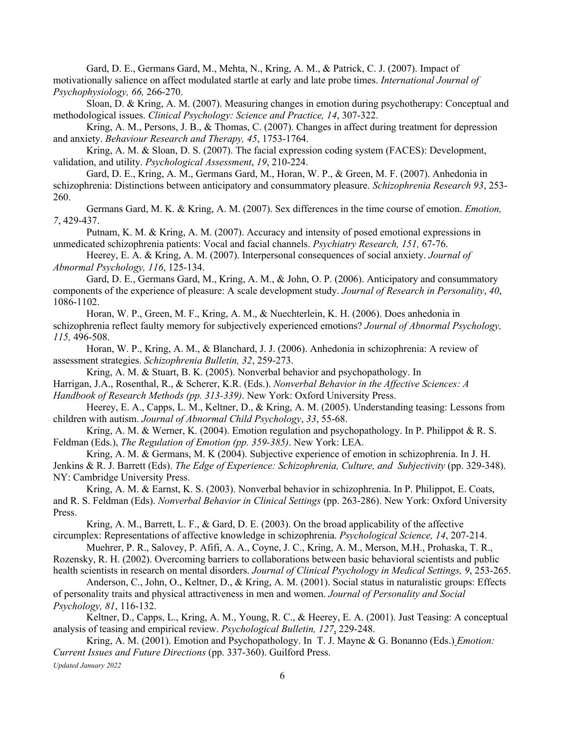Gard, D. E., Germans Gard, M., Mehta, N., Kring, A. M., & Patrick, C. J. (2007). Impact of motivationally salience on affect modulated startle at early and late probe times. *International Journal of Psychophysiology, 66,* 266-270.

Sloan, D. & Kring, A. M. (2007). Measuring changes in emotion during psychotherapy: Conceptual and methodological issues. *Clinical Psychology: Science and Practice, 14*, 307-322.

Kring, A. M., Persons, J. B., & Thomas, C. (2007). Changes in affect during treatment for depression and anxiety. *Behaviour Research and Therapy, 45*, 1753-1764.

Kring, A. M. & Sloan, D. S. (2007). The facial expression coding system (FACES): Development, validation, and utility. *Psychological Assessment*, *19*, 210-224.

Gard, D. E., Kring, A. M., Germans Gard, M., Horan, W. P., & Green, M. F. (2007). Anhedonia in schizophrenia: Distinctions between anticipatory and consummatory pleasure. *Schizophrenia Research 93*, 253- 260.

Germans Gard, M. K. & Kring, A. M. (2007). Sex differences in the time course of emotion. *Emotion, 7*, 429-437.

Putnam, K. M. & Kring, A. M. (2007). Accuracy and intensity of posed emotional expressions in unmedicated schizophrenia patients: Vocal and facial channels. *Psychiatry Research, 151,* 67-76.

Heerey, E. A. & Kring, A. M. (2007). Interpersonal consequences of social anxiety. *Journal of Abnormal Psychology, 116*, 125-134.

Gard, D. E., Germans Gard, M., Kring, A. M., & John, O. P. (2006). Anticipatory and consummatory components of the experience of pleasure: A scale development study. *Journal of Research in Personality*, *40*, 1086-1102.

Horan, W. P., Green, M. F., Kring, A. M., & Nuechterlein, K. H. (2006). Does anhedonia in schizophrenia reflect faulty memory for subjectively experienced emotions? *Journal of Abnormal Psychology, 115,* 496-508.

Horan, W. P., Kring, A. M., & Blanchard, J. J. (2006). Anhedonia in schizophrenia: A review of assessment strategies. *Schizophrenia Bulletin, 32*, 259-273.

Kring, A. M. & Stuart, B. K. (2005). Nonverbal behavior and psychopathology. In Harrigan, J.A., Rosenthal, R., & Scherer, K.R. (Eds.). *Nonverbal Behavior in the Affective Sciences: A* 

*Handbook of Research Methods (pp. 313-339)*. New York: Oxford University Press.

Heerey, E. A., Capps, L. M., Keltner, D., & Kring, A. M. (2005). Understanding teasing: Lessons from children with autism. *Journal of Abnormal Child Psychology*, *33*, 55-68.

Kring, A. M. & Werner, K. (2004). Emotion regulation and psychopathology. In P. Philippot & R. S. Feldman (Eds.), *The Regulation of Emotion (pp. 359-385)*. New York: LEA.

Kring, A. M. & Germans, M. K (2004). Subjective experience of emotion in schizophrenia. In J. H. Jenkins & R. J. Barrett (Eds). *The Edge of Experience: Schizophrenia, Culture, and Subjectivity* (pp. 329-348). NY: Cambridge University Press.

Kring, A. M. & Earnst, K. S. (2003). Nonverbal behavior in schizophrenia. In P. Philippot, E. Coats, and R. S. Feldman (Eds). *Nonverbal Behavior in Clinical Settings* (pp. 263-286). New York: Oxford University Press.

Kring, A. M., Barrett, L. F., & Gard, D. E. (2003). On the broad applicability of the affective circumplex: Representations of affective knowledge in schizophrenia. *Psychological Science, 14*, 207-214.

Muehrer, P. R., Salovey, P. Afifi, A. A., Coyne, J. C., Kring, A. M., Merson, M.H., Prohaska, T. R., Rozensky, R. H. (2002). Overcoming barriers to collaborations between basic behavioral scientists and public health scientists in research on mental disorders. *Journal of Clinical Psychology in Medical Settings, 9*, 253-265.

Anderson, C., John, O., Keltner, D., & Kring, A. M. (2001). Social status in naturalistic groups: Effects of personality traits and physical attractiveness in men and women. *Journal of Personality and Social Psychology, 81*, 116-132.

Keltner, D., Capps, L., Kring, A. M., Young, R. C., & Heerey, E. A. (2001). Just Teasing: A conceptual analysis of teasing and empirical review. *Psychological Bulletin, 127*, 229-248.

Kring, A. M. (2001). Emotion and Psychopathology. In T. J. Mayne & G. Bonanno (Eds.) *Emotion: Current Issues and Future Directions* (pp. 337-360). Guilford Press.

*Updated January 2022*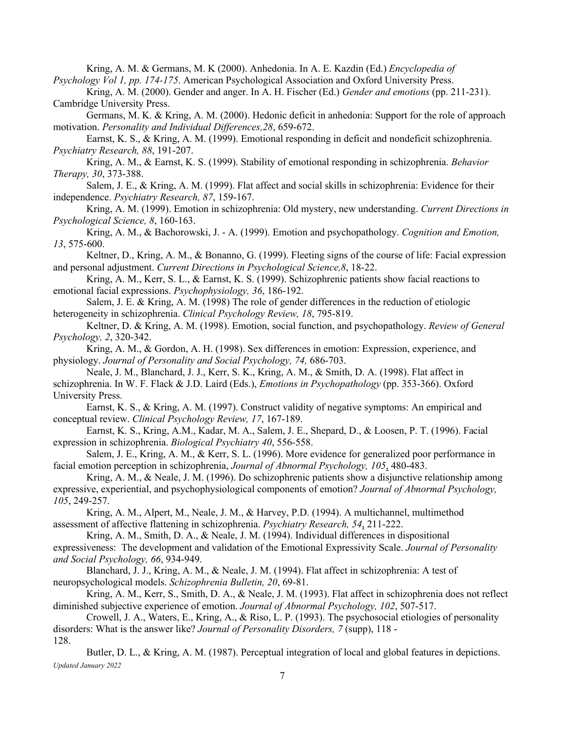Kring, A. M. & Germans, M. K (2000). Anhedonia. In A. E. Kazdin (Ed.) *Encyclopedia of Psychology Vol 1, pp. 174-175*. American Psychological Association and Oxford University Press.

Kring, A. M. (2000). Gender and anger. In A. H. Fischer (Ed.) *Gender and emotions* (pp. 211-231). Cambridge University Press.

Germans, M. K. & Kring, A. M. (2000). Hedonic deficit in anhedonia: Support for the role of approach motivation. *Personality and Individual Differences,28*, 659-672.

Earnst, K. S., & Kring, A. M. (1999). Emotional responding in deficit and nondeficit schizophrenia. *Psychiatry Research, 88*, 191-207.

Kring, A. M., & Earnst, K. S. (1999). Stability of emotional responding in schizophrenia. *Behavior Therapy, 30*, 373-388.

Salem, J. E., & Kring, A. M. (1999). Flat affect and social skills in schizophrenia: Evidence for their independence. *Psychiatry Research, 87*, 159-167.

Kring, A. M. (1999). Emotion in schizophrenia: Old mystery, new understanding. *Current Directions in Psychological Science, 8*, 160-163.

Kring, A. M., & Bachorowski, J. - A. (1999). Emotion and psychopathology. *Cognition and Emotion, 13*, 575-600.

Keltner, D., Kring, A. M., & Bonanno, G. (1999). Fleeting signs of the course of life: Facial expression and personal adjustment. *Current Directions in Psychological Science,8*, 18-22.

Kring, A. M., Kerr, S. L., & Earnst, K. S. (1999). Schizophrenic patients show facial reactions to emotional facial expressions. *Psychophysiology, 36*, 186-192.

Salem, J. E. & Kring, A. M. (1998) The role of gender differences in the reduction of etiologic heterogeneity in schizophrenia. *Clinical Psychology Review, 18*, 795-819.

Keltner, D. & Kring, A. M. (1998). Emotion, social function, and psychopathology. *Review of General Psychology, 2*, 320-342.

Kring, A. M., & Gordon, A. H. (1998). Sex differences in emotion: Expression, experience, and physiology. *Journal of Personality and Social Psychology, 74,* 686-703.

Neale, J. M., Blanchard, J. J., Kerr, S. K., Kring, A. M., & Smith, D. A. (1998). Flat affect in schizophrenia. In W. F. Flack & J.D. Laird (Eds.), *Emotions in Psychopathology* (pp. 353-366). Oxford University Press.

Earnst, K. S., & Kring, A. M. (1997). Construct validity of negative symptoms: An empirical and conceptual review. *Clinical Psychology Review, 17*, 167-189.

Earnst, K. S., Kring, A.M., Kadar, M. A., Salem, J. E., Shepard, D., & Loosen, P. T. (1996). Facial expression in schizophrenia. *Biological Psychiatry 40*, 556-558.

Salem, J. E., Kring, A. M., & Kerr, S. L. (1996). More evidence for generalized poor performance in facial emotion perception in schizophrenia, *Journal of Abnormal Psychology, 105*, 480-483.

Kring, A. M., & Neale, J. M. (1996). Do schizophrenic patients show a disjunctive relationship among expressive, experiential, and psychophysiological components of emotion? *Journal of Abnormal Psychology, 105*, 249-257.

Kring, A. M., Alpert, M., Neale, J. M., & Harvey, P.D. (1994). A multichannel, multimethod assessment of affective flattening in schizophrenia. *Psychiatry Research, 54*, 211-222.

Kring, A. M., Smith, D. A., & Neale, J. M. (1994). Individual differences in dispositional expressiveness: The development and validation of the Emotional Expressivity Scale. *Journal of Personality and Social Psychology, 66*, 934-949.

Blanchard, J. J., Kring, A. M., & Neale, J. M. (1994). Flat affect in schizophrenia: A test of neuropsychological models. *Schizophrenia Bulletin, 20*, 69-81.

Kring, A. M., Kerr, S., Smith, D. A., & Neale, J. M. (1993). Flat affect in schizophrenia does not reflect diminished subjective experience of emotion. *Journal of Abnormal Psychology, 102*, 507-517.

Crowell, J. A., Waters, E., Kring, A., & Riso, L. P. (1993). The psychosocial etiologies of personality disorders: What is the answer like? *Journal of Personality Disorders, 7* (supp), 118 - 128.

*Updated January 2022* Butler, D. L., & Kring, A. M. (1987). Perceptual integration of local and global features in depictions.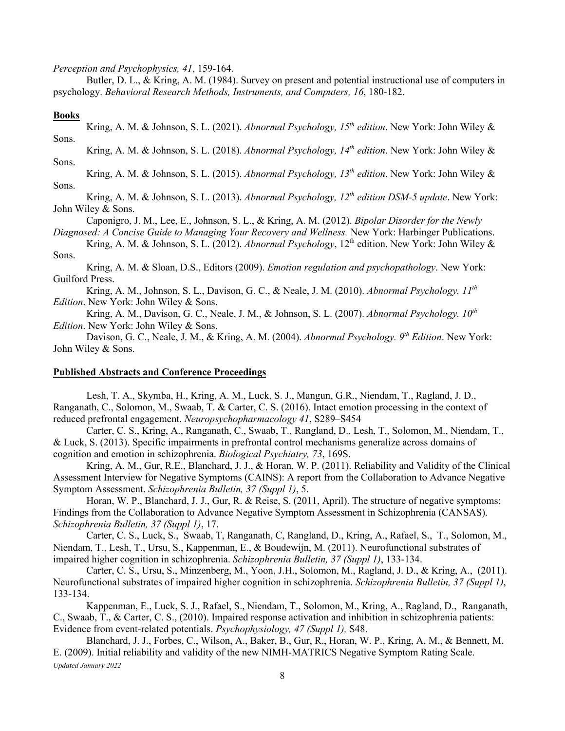*Perception and Psychophysics, 41*, 159-164.

Butler, D. L., & Kring, A. M. (1984). Survey on present and potential instructional use of computers in psychology. *Behavioral Research Methods, Instruments, and Computers, 16*, 180-182.

## **Books**

Kring, A. M. & Johnson, S. L. (2021). *Abnormal Psychology, 15th edition*. New York: John Wiley & Sons.

Kring, A. M. & Johnson, S. L. (2018). *Abnormal Psychology, 14th edition*. New York: John Wiley & Sons.

Kring, A. M. & Johnson, S. L. (2015). *Abnormal Psychology, 13th edition*. New York: John Wiley & Sons.

Kring, A. M. & Johnson, S. L. (2013). *Abnormal Psychology, 12th edition DSM-5 update*. New York: John Wiley & Sons.

Caponigro, J. M., Lee, E., Johnson, S. L., & Kring, A. M. (2012). *Bipolar Disorder for the Newly* 

*Diagnosed: A Concise Guide to Managing Your Recovery and Wellness.* New York: Harbinger Publications.

Kring, A. M. & Johnson, S. L. (2012). *Abnormal Psychology*, 12<sup>th</sup> edition. New York: John Wiley & Sons.

Kring, A. M. & Sloan, D.S., Editors (2009). *Emotion regulation and psychopathology*. New York: Guilford Press.

Kring, A. M., Johnson, S. L., Davison, G. C., & Neale, J. M. (2010). *Abnormal Psychology. 11th Edition*. New York: John Wiley & Sons.

Kring, A. M., Davison, G. C., Neale, J. M., & Johnson, S. L. (2007). *Abnormal Psychology.* 10<sup>th</sup> *Edition*. New York: John Wiley & Sons.

Davison, G. C., Neale, J. M., & Kring, A. M. (2004). *Abnormal Psychology. 9th Edition*. New York: John Wiley & Sons.

# **Published Abstracts and Conference Proceedings**

Lesh, T. A., Skymba, H., Kring, A. M., Luck, S. J., Mangun, G.R., Niendam, T., Ragland, J. D., Ranganath, C., Solomon, M., Swaab, T. & Carter, C. S. (2016). Intact emotion processing in the context of reduced prefrontal engagement. *Neuropsychopharmacology 41*, S289–S454

Carter, C. S., Kring, A., Ranganath, C., Swaab, T., Rangland, D., Lesh, T., Solomon, M., Niendam, T., & Luck, S. (2013). Specific impairments in prefrontal control mechanisms generalize across domains of cognition and emotion in schizophrenia. *Biological Psychiatry, 73*, 169S.

Kring, A. M., Gur, R.E., Blanchard, J. J., & Horan, W. P. (2011). Reliability and Validity of the Clinical Assessment Interview for Negative Symptoms (CAINS): A report from the Collaboration to Advance Negative Symptom Assessment. *Schizophrenia Bulletin, 37 (Suppl 1)*, 5.

Horan, W. P., Blanchard, J. J., Gur, R. & Reise, S. (2011, April). The structure of negative symptoms: Findings from the Collaboration to Advance Negative Symptom Assessment in Schizophrenia (CANSAS). *Schizophrenia Bulletin, 37 (Suppl 1)*, 17.

Carter, C. S., Luck, S., Swaab, T, Ranganath, C, Rangland, D., Kring, A., Rafael, S., T., Solomon, M., Niendam, T., Lesh, T., Ursu, S., Kappenman, E., & Boudewijn, M. (2011). Neurofunctional substrates of impaired higher cognition in schizophrenia. *Schizophrenia Bulletin, 37 (Suppl 1)*, 133-134.

Carter, C. S., Ursu, S., Minzenberg, M., Yoon, J.H., Solomon, M., Ragland, J. D., & Kring, A., (2011). Neurofunctional substrates of impaired higher cognition in schizophrenia. *Schizophrenia Bulletin, 37 (Suppl 1)*, 133-134.

Kappenman, E., Luck, S. J., Rafael, S., Niendam, T., Solomon, M., Kring, A., Ragland, D., Ranganath, C., Swaab, T., & Carter, C. S., (2010). Impaired response activation and inhibition in schizophrenia patients: Evidence from event-related potentials. *Psychophysiology, 47 (Suppl 1),* S48.

*Updated January 2022* Blanchard, J. J., Forbes, C., Wilson, A., Baker, B., Gur, R., Horan, W. P., Kring, A. M., & Bennett, M. E. (2009). Initial reliability and validity of the new NIMH-MATRICS Negative Symptom Rating Scale.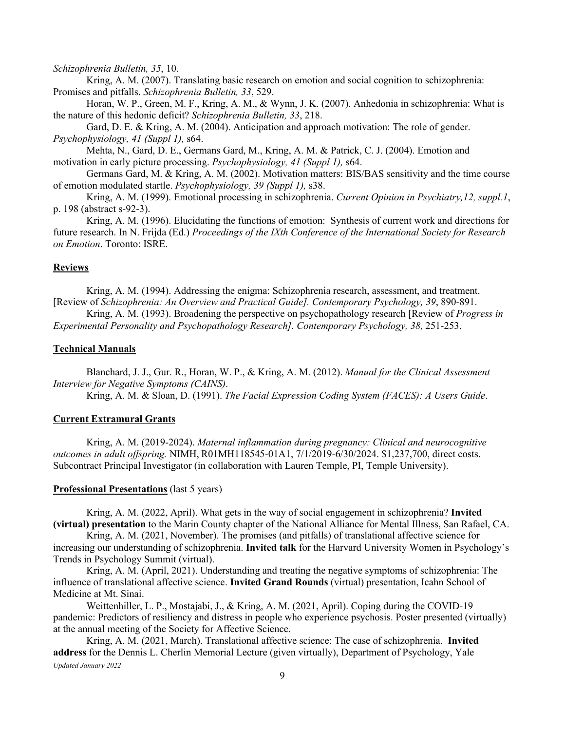#### *Schizophrenia Bulletin, 35*, 10.

Kring, A. M. (2007). Translating basic research on emotion and social cognition to schizophrenia: Promises and pitfalls. *Schizophrenia Bulletin, 33*, 529.

Horan, W. P., Green, M. F., Kring, A. M., & Wynn, J. K. (2007). Anhedonia in schizophrenia: What is the nature of this hedonic deficit? *Schizophrenia Bulletin, 33*, 218.

Gard, D. E. & Kring, A. M. (2004). Anticipation and approach motivation: The role of gender. *Psychophysiology, 41 (Suppl 1),* s64.

Mehta, N., Gard, D. E., Germans Gard, M., Kring, A. M. & Patrick, C. J. (2004). Emotion and motivation in early picture processing. *Psychophysiology, 41 (Suppl 1),* s64.

Germans Gard, M. & Kring, A. M. (2002). Motivation matters: BIS/BAS sensitivity and the time course of emotion modulated startle. *Psychophysiology, 39 (Suppl 1),* s38.

Kring, A. M. (1999). Emotional processing in schizophrenia. *Current Opinion in Psychiatry,12, suppl.1*, p. 198 (abstract s-92-3).

Kring, A. M. (1996). Elucidating the functions of emotion: Synthesis of current work and directions for future research. In N. Frijda (Ed.) *Proceedings of the IXth Conference of the International Society for Research on Emotion*. Toronto: ISRE.

## **Reviews**

Kring, A. M. (1994). Addressing the enigma: Schizophrenia research, assessment, and treatment. [Review of *Schizophrenia: An Overview and Practical Guide]. Contemporary Psychology, 39*, 890-891.

Kring, A. M. (1993). Broadening the perspective on psychopathology research [Review of *Progress in Experimental Personality and Psychopathology Research]. Contemporary Psychology, 38,* 251-253.

## **Technical Manuals**

Blanchard, J. J., Gur. R., Horan, W. P., & Kring, A. M. (2012). *Manual for the Clinical Assessment Interview for Negative Symptoms (CAINS)*.

Kring, A. M. & Sloan, D. (1991). *The Facial Expression Coding System (FACES): A Users Guide*.

# **Current Extramural Grants**

Kring, A. M. (2019-2024). *Maternal inflammation during pregnancy: Clinical and neurocognitive outcomes in adult offspring.* NIMH, R01MH118545-01A1, 7/1/2019-6/30/2024. \$1,237,700, direct costs. Subcontract Principal Investigator (in collaboration with Lauren Temple, PI, Temple University).

# **Professional Presentations** (last 5 years)

Kring, A. M. (2022, April). What gets in the way of social engagement in schizophrenia? **Invited (virtual) presentation** to the Marin County chapter of the National Alliance for Mental Illness, San Rafael, CA.

Kring, A. M. (2021, November). The promises (and pitfalls) of translational affective science for increasing our understanding of schizophrenia. **Invited talk** for the Harvard University Women in Psychology's Trends in Psychology Summit (virtual).

Kring, A. M. (April, 2021). Understanding and treating the negative symptoms of schizophrenia: The influence of translational affective science. **Invited Grand Rounds** (virtual) presentation, Icahn School of Medicine at Mt. Sinai.

Weittenhiller, L. P., Mostajabi, J., & Kring, A. M. (2021, April). Coping during the COVID-19 pandemic: Predictors of resiliency and distress in people who experience psychosis. Poster presented (virtually) at the annual meeting of the Society for Affective Science.

*Updated January 2022* Kring, A. M. (2021, March). Translational affective science: The case of schizophrenia. **Invited address** for the Dennis L. Cherlin Memorial Lecture (given virtually), Department of Psychology, Yale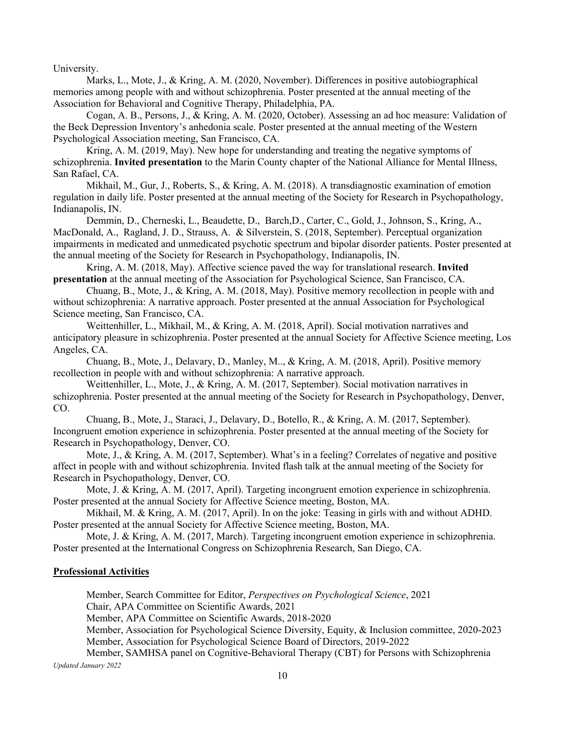University.

Marks, L., Mote, J., & Kring, A. M. (2020, November). Differences in positive autobiographical memories among people with and without schizophrenia. Poster presented at the annual meeting of the Association for Behavioral and Cognitive Therapy, Philadelphia, PA.

Cogan, A. B., Persons, J., & Kring, A. M. (2020, October). Assessing an ad hoc measure: Validation of the Beck Depression Inventory's anhedonia scale. Poster presented at the annual meeting of the Western Psychological Association meeting, San Francisco, CA.

Kring, A. M. (2019, May). New hope for understanding and treating the negative symptoms of schizophrenia. **Invited presentation** to the Marin County chapter of the National Alliance for Mental Illness, San Rafael, CA.

Mikhail, M., Gur, J., Roberts, S., & Kring, A. M. (2018). A transdiagnostic examination of emotion regulation in daily life. Poster presented at the annual meeting of the Society for Research in Psychopathology, Indianapolis, IN.

Demmin, D., Cherneski, L., Beaudette, D., Barch,D., Carter, C., Gold, J., Johnson, S., Kring, A., MacDonald, A., Ragland, J. D., Strauss, A. & Silverstein, S. (2018, September). Perceptual organization impairments in medicated and unmedicated psychotic spectrum and bipolar disorder patients. Poster presented at the annual meeting of the Society for Research in Psychopathology, Indianapolis, IN.

Kring, A. M. (2018, May). Affective science paved the way for translational research. **Invited presentation** at the annual meeting of the Association for Psychological Science, San Francisco, CA.

Chuang, B., Mote, J., & Kring, A. M. (2018, May). Positive memory recollection in people with and without schizophrenia: A narrative approach. Poster presented at the annual Association for Psychological Science meeting, San Francisco, CA.

Weittenhiller, L., Mikhail, M., & Kring, A. M. (2018, April). Social motivation narratives and anticipatory pleasure in schizophrenia. Poster presented at the annual Society for Affective Science meeting, Los Angeles, CA.

Chuang, B., Mote, J., Delavary, D., Manley, M.., & Kring, A. M. (2018, April). Positive memory recollection in people with and without schizophrenia: A narrative approach.

Weittenhiller, L., Mote, J., & Kring, A. M. (2017, September). Social motivation narratives in schizophrenia. Poster presented at the annual meeting of the Society for Research in Psychopathology, Denver, CO.

Chuang, B., Mote, J., Staraci, J., Delavary, D., Botello, R., & Kring, A. M. (2017, September). Incongruent emotion experience in schizophrenia. Poster presented at the annual meeting of the Society for Research in Psychopathology, Denver, CO.

Mote, J., & Kring, A. M. (2017, September). What's in a feeling? Correlates of negative and positive affect in people with and without schizophrenia. Invited flash talk at the annual meeting of the Society for Research in Psychopathology, Denver, CO.

Mote, J. & Kring, A. M. (2017, April). Targeting incongruent emotion experience in schizophrenia. Poster presented at the annual Society for Affective Science meeting, Boston, MA.

Mikhail, M. & Kring, A. M. (2017, April). In on the joke: Teasing in girls with and without ADHD. Poster presented at the annual Society for Affective Science meeting, Boston, MA.

Mote, J. & Kring, A. M. (2017, March). Targeting incongruent emotion experience in schizophrenia. Poster presented at the International Congress on Schizophrenia Research, San Diego, CA.

# **Professional Activities**

Member, Search Committee for Editor, *Perspectives on Psychological Science*, 2021

Chair, APA Committee on Scientific Awards, 2021

Member, APA Committee on Scientific Awards, 2018-2020

Member, Association for Psychological Science Diversity, Equity, & Inclusion committee, 2020-2023 Member, Association for Psychological Science Board of Directors, 2019-2022

*Updated January 2022* Member, SAMHSA panel on Cognitive-Behavioral Therapy (CBT) for Persons with Schizophrenia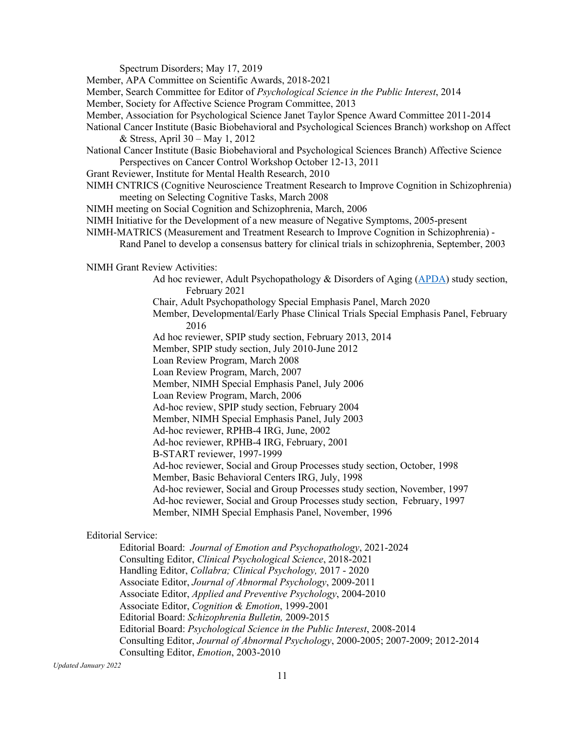Spectrum Disorders; May 17, 2019

Member, APA Committee on Scientific Awards, 2018-2021

Member, Search Committee for Editor of *Psychological Science in the Public Interest*, 2014

Member, Society for Affective Science Program Committee, 2013

- Member, Association for Psychological Science Janet Taylor Spence Award Committee 2011-2014
- National Cancer Institute (Basic Biobehavioral and Psychological Sciences Branch) workshop on Affect & Stress, April 30 – May 1, 2012
- National Cancer Institute (Basic Biobehavioral and Psychological Sciences Branch) Affective Science Perspectives on Cancer Control Workshop October 12-13, 2011
- Grant Reviewer, Institute for Mental Health Research, 2010
- NIMH CNTRICS (Cognitive Neuroscience Treatment Research to Improve Cognition in Schizophrenia) meeting on Selecting Cognitive Tasks, March 2008
- NIMH meeting on Social Cognition and Schizophrenia, March, 2006
- NIMH Initiative for the Development of a new measure of Negative Symptoms, 2005-present
- NIMH-MATRICS (Measurement and Treatment Research to Improve Cognition in Schizophrenia)
	- Rand Panel to develop a consensus battery for clinical trials in schizophrenia, September, 2003

NIMH Grant Review Activities:

- Ad hoc reviewer, Adult Psychopathology & Disorders of Aging (APDA) study section, February 2021
- Chair, Adult Psychopathology Special Emphasis Panel, March 2020
- Member, Developmental/Early Phase Clinical Trials Special Emphasis Panel, February 2016
- Ad hoc reviewer, SPIP study section, February 2013, 2014
- Member, SPIP study section, July 2010-June 2012
- Loan Review Program, March 2008
- Loan Review Program, March, 2007
- Member, NIMH Special Emphasis Panel, July 2006
- Loan Review Program, March, 2006
- Ad-hoc review, SPIP study section, February 2004
- Member, NIMH Special Emphasis Panel, July 2003
- Ad-hoc reviewer, RPHB-4 IRG, June, 2002
- Ad-hoc reviewer, RPHB-4 IRG, February, 2001
- B-START reviewer, 1997-1999
- Ad-hoc reviewer, Social and Group Processes study section, October, 1998
- Member, Basic Behavioral Centers IRG, July, 1998
- Ad-hoc reviewer, Social and Group Processes study section, November, 1997
- Ad-hoc reviewer, Social and Group Processes study section, February, 1997 Member, NIMH Special Emphasis Panel, November, 1996

#### Editorial Service:

Editorial Board: *Journal of Emotion and Psychopathology*, 2021-2024 Consulting Editor, *Clinical Psychological Science*, 2018-2021 Handling Editor, *Collabra; Clinical Psychology,* 2017 - 2020 Associate Editor, *Journal of Abnormal Psychology*, 2009-2011 Associate Editor, *Applied and Preventive Psychology*, 2004-2010 Associate Editor, *Cognition & Emotion*, 1999-2001 Editorial Board: *Schizophrenia Bulletin,* 2009-2015 Editorial Board: *Psychological Science in the Public Interest*, 2008-2014 Consulting Editor, *Journal of Abnormal Psychology*, 2000-2005; 2007-2009; 2012-2014 Consulting Editor, *Emotion*, 2003-2010

*Updated January 2022*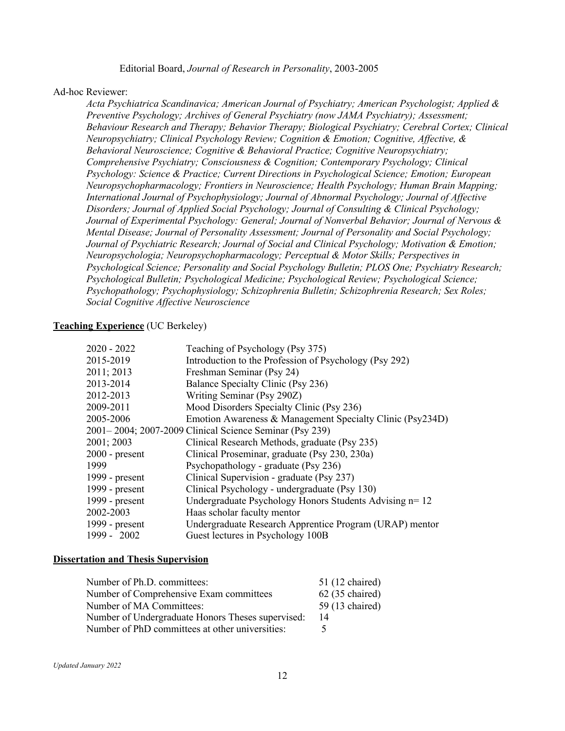Editorial Board, *Journal of Research in Personality*, 2003-2005

## Ad-hoc Reviewer:

*Acta Psychiatrica Scandinavica; American Journal of Psychiatry; American Psychologist; Applied & Preventive Psychology; Archives of General Psychiatry (now JAMA Psychiatry); Assessment; Behaviour Research and Therapy; Behavior Therapy; Biological Psychiatry; Cerebral Cortex; Clinical Neuropsychiatry; Clinical Psychology Review; Cognition & Emotion; Cognitive, Affective, & Behavioral Neuroscience; Cognitive & Behavioral Practice; Cognitive Neuropsychiatry; Comprehensive Psychiatry; Consciousness & Cognition; Contemporary Psychology; Clinical Psychology: Science & Practice; Current Directions in Psychological Science; Emotion; European Neuropsychopharmacology; Frontiers in Neuroscience; Health Psychology; Human Brain Mapping; International Journal of Psychophysiology; Journal of Abnormal Psychology; Journal of Affective Disorders; Journal of Applied Social Psychology; Journal of Consulting & Clinical Psychology; Journal of Experimental Psychology: General; Journal of Nonverbal Behavior; Journal of Nervous & Mental Disease; Journal of Personality Assessment; Journal of Personality and Social Psychology; Journal of Psychiatric Research; Journal of Social and Clinical Psychology; Motivation & Emotion; Neuropsychologia; Neuropsychopharmacology; Perceptual & Motor Skills; Perspectives in Psychological Science; Personality and Social Psychology Bulletin; PLOS One; Psychiatry Research; Psychological Bulletin; Psychological Medicine; Psychological Review; Psychological Science; Psychopathology; Psychophysiology; Schizophrenia Bulletin; Schizophrenia Research; Sex Roles; Social Cognitive Affective Neuroscience*

# **Teaching Experience** (UC Berkeley)

| 2020 - 2022      | Teaching of Psychology (Psy 375)                          |
|------------------|-----------------------------------------------------------|
| 2015-2019        | Introduction to the Profession of Psychology (Psy 292)    |
| 2011; 2013       | Freshman Seminar (Psy 24)                                 |
| 2013-2014        | Balance Specialty Clinic (Psy 236)                        |
| 2012-2013        | Writing Seminar (Psy 290Z)                                |
| 2009-2011        | Mood Disorders Specialty Clinic (Psy 236)                 |
| 2005-2006        | Emotion Awareness & Management Specialty Clinic (Psy234D) |
|                  | 2001–2004; 2007-2009 Clinical Science Seminar (Psy 239)   |
| 2001; 2003       | Clinical Research Methods, graduate (Psy 235)             |
| $2000$ - present | Clinical Proseminar, graduate (Psy 230, 230a)             |
| 1999             | Psychopathology - graduate (Psy 236)                      |
| 1999 - present   | Clinical Supervision - graduate (Psy 237)                 |
| 1999 - present   | Clinical Psychology - undergraduate (Psy 130)             |
| 1999 - present   | Undergraduate Psychology Honors Students Advising n= 12   |
| 2002-2003        | Haas scholar faculty mentor                               |
| 1999 - present   | Undergraduate Research Apprentice Program (URAP) mentor   |
| 1999 - 2002      | Guest lectures in Psychology 100B                         |

## **Dissertation and Thesis Supervision**

| Number of Ph.D. committees:                       | 51 (12 chaired)   |
|---------------------------------------------------|-------------------|
| Number of Comprehensive Exam committees           | $62$ (35 chaired) |
| Number of MA Committees:                          | 59 (13 chaired)   |
| Number of Undergraduate Honors Theses supervised: | 14                |
| Number of PhD committees at other universities:   |                   |
|                                                   |                   |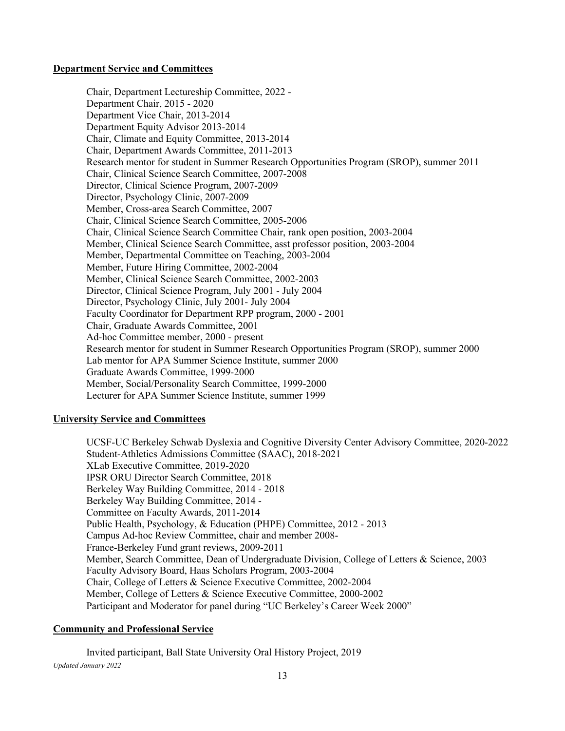# **Department Service and Committees**

Chair, Department Lectureship Committee, 2022 - Department Chair, 2015 - 2020 Department Vice Chair, 2013-2014 Department Equity Advisor 2013-2014 Chair, Climate and Equity Committee, 2013-2014 Chair, Department Awards Committee, 2011-2013 Research mentor for student in Summer Research Opportunities Program (SROP), summer 2011 Chair, Clinical Science Search Committee, 2007-2008 Director, Clinical Science Program, 2007-2009 Director, Psychology Clinic, 2007-2009 Member, Cross-area Search Committee, 2007 Chair, Clinical Science Search Committee, 2005-2006 Chair, Clinical Science Search Committee Chair, rank open position, 2003-2004 Member, Clinical Science Search Committee, asst professor position, 2003-2004 Member, Departmental Committee on Teaching, 2003-2004 Member, Future Hiring Committee, 2002-2004 Member, Clinical Science Search Committee, 2002-2003 Director, Clinical Science Program, July 2001 - July 2004 Director, Psychology Clinic, July 2001- July 2004 Faculty Coordinator for Department RPP program, 2000 - 2001 Chair, Graduate Awards Committee, 2001 Ad-hoc Committee member, 2000 - present Research mentor for student in Summer Research Opportunities Program (SROP), summer 2000 Lab mentor for APA Summer Science Institute, summer 2000 Graduate Awards Committee, 1999-2000 Member, Social/Personality Search Committee, 1999-2000 Lecturer for APA Summer Science Institute, summer 1999

# **University Service and Committees**

UCSF-UC Berkeley Schwab Dyslexia and Cognitive Diversity Center Advisory Committee, 2020-2022 Student-Athletics Admissions Committee (SAAC), 2018-2021 XLab Executive Committee, 2019-2020 IPSR ORU Director Search Committee, 2018 Berkeley Way Building Committee, 2014 - 2018 Berkeley Way Building Committee, 2014 - Committee on Faculty Awards, 2011-2014 Public Health, Psychology, & Education (PHPE) Committee, 2012 - 2013 Campus Ad-hoc Review Committee, chair and member 2008- France-Berkeley Fund grant reviews, 2009-2011 Member, Search Committee, Dean of Undergraduate Division, College of Letters & Science, 2003 Faculty Advisory Board, Haas Scholars Program, 2003-2004 Chair, College of Letters & Science Executive Committee, 2002-2004 Member, College of Letters & Science Executive Committee, 2000-2002 Participant and Moderator for panel during "UC Berkeley's Career Week 2000"

# **Community and Professional Service**

*Updated January 2022* Invited participant, Ball State University Oral History Project, 2019